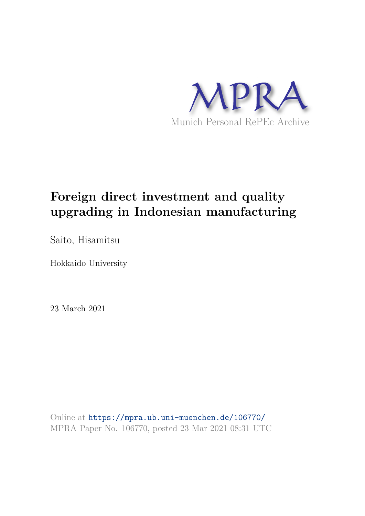

# **Foreign direct investment and quality upgrading in Indonesian manufacturing**

Saito, Hisamitsu

Hokkaido University

23 March 2021

Online at https://mpra.ub.uni-muenchen.de/106770/ MPRA Paper No. 106770, posted 23 Mar 2021 08:31 UTC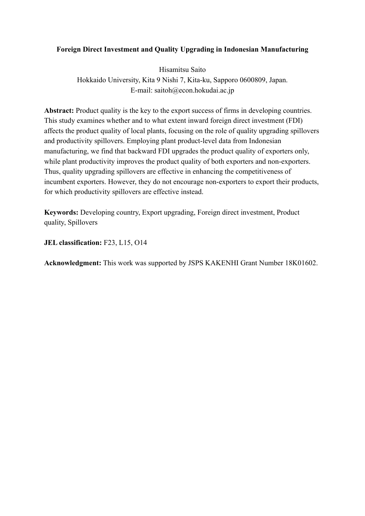## **Foreign Direct Investment and Quality Upgrading in Indonesian Manufacturing**

Hisamitsu Saito Hokkaido University, Kita 9 Nishi 7, Kita-ku, Sapporo 0600809, Japan. E-mail: saitoh@econ.hokudai.ac.jp

Abstract: Product quality is the key to the export success of firms in developing countries. This study examines whether and to what extent inward foreign direct investment (FDI) affects the product quality of local plants, focusing on the role of quality upgrading spillovers and productivity spillovers. Employing plant product-level data from Indonesian manufacturing, we find that backward FDI upgrades the product quality of exporters only, while plant productivity improves the product quality of both exporters and non-exporters. Thus, quality upgrading spillovers are effective in enhancing the competitiveness of incumbent exporters. However, they do not encourage non-exporters to export their products, for which productivity spillovers are effective instead.

**Keywords:** Developing country, Export upgrading, Foreign direct investment, Product quality, Spillovers

**JEL classification:** F23, L15, O14

**Acknowledgment:** This work was supported by JSPS KAKENHI Grant Number 18K01602.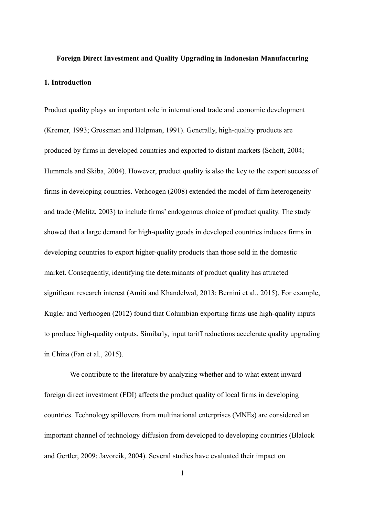# **Foreign Direct Investment and Quality Upgrading in Indonesian Manufacturing 1. Introduction**

Product quality plays an important role in international trade and economic development (Kremer, 1993; Grossman and Helpman, 1991). Generally, high-quality products are produced by firms in developed countries and exported to distant markets (Schott, 2004; Hummels and Skiba, 2004). However, product quality is also the key to the export success of firms in developing countries. Verhoogen (2008) extended the model of firm heterogeneity and trade (Melitz, 2003) to include firms' endogenous choice of product quality. The study showed that a large demand for high-quality goods in developed countries induces firms in developing countries to export higher-quality products than those sold in the domestic market. Consequently, identifying the determinants of product quality has attracted significant research interest (Amiti and Khandelwal, 2013; Bernini et al., 2015). For example, Kugler and Verhoogen (2012) found that Columbian exporting firms use high-quality inputs to produce high-quality outputs. Similarly, input tariff reductions accelerate quality upgrading in China (Fan et al., 2015).

 We contribute to the literature by analyzing whether and to what extent inward foreign direct investment (FDI) affects the product quality of local firms in developing countries. Technology spillovers from multinational enterprises (MNEs) are considered an important channel of technology diffusion from developed to developing countries (Blalock and Gertler, 2009; Javorcik, 2004). Several studies have evaluated their impact on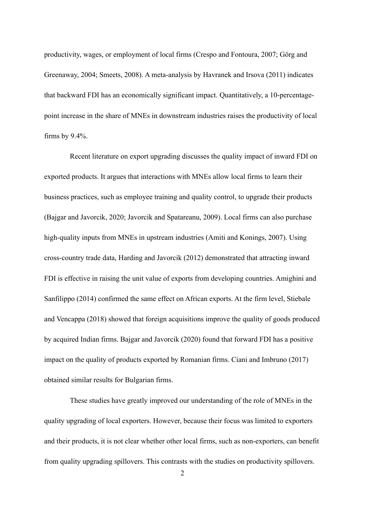productivity, wages, or employment of local firms (Crespo and Fontoura, 2007; Görg and Greenaway, 2004; Smeets, 2008). A meta-analysis by Havranek and Irsova (2011) indicates that backward FDI has an economically significant impact. Quantitatively, a 10-percentagepoint increase in the share of MNEs in downstream industries raises the productivity of local firms by 9.4%.

 Recent literature on export upgrading discusses the quality impact of inward FDI on exported products. It argues that interactions with MNEs allow local firms to learn their business practices, such as employee training and quality control, to upgrade their products (Bajgar and Javorcik, 2020; Javorcik and Spatareanu, 2009). Local firms can also purchase high-quality inputs from MNEs in upstream industries (Amiti and Konings, 2007). Using cross-country trade data, Harding and Javorcik (2012) demonstrated that attracting inward FDI is effective in raising the unit value of exports from developing countries. Amighini and Sanfilippo (2014) confirmed the same effect on African exports. At the firm level, Stiebale and Vencappa (2018) showed that foreign acquisitions improve the quality of goods produced by acquired Indian firms. Bajgar and Javorcik (2020) found that forward FDI has a positive impact on the quality of products exported by Romanian firms. Ciani and Imbruno (2017) obtained similar results for Bulgarian firms.

 These studies have greatly improved our understanding of the role of MNEs in the quality upgrading of local exporters. However, because their focus was limited to exporters and their products, it is not clear whether other local firms, such as non-exporters, can benefit from quality upgrading spillovers. This contrasts with the studies on productivity spillovers.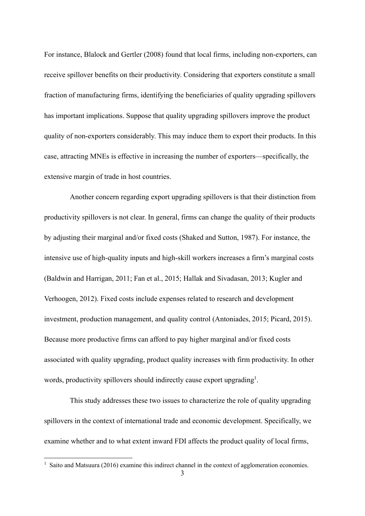For instance, Blalock and Gertler (2008) found that local firms, including non-exporters, can receive spillover benefits on their productivity. Considering that exporters constitute a small fraction of manufacturing firms, identifying the beneficiaries of quality upgrading spillovers has important implications. Suppose that quality upgrading spillovers improve the product quality of non-exporters considerably. This may induce them to export their products. In this case, attracting MNEs is effective in increasing the number of exporters—specifically, the extensive margin of trade in host countries.

 Another concern regarding export upgrading spillovers is that their distinction from productivity spillovers is not clear. In general, firms can change the quality of their products by adjusting their marginal and/or fixed costs (Shaked and Sutton, 1987). For instance, the intensive use of high-quality inputs and high-skill workers increases a firm's marginal costs (Baldwin and Harrigan, 2011; Fan et al., 2015; Hallak and Sivadasan, 2013; Kugler and Verhoogen, 2012). Fixed costs include expenses related to research and development investment, production management, and quality control (Antoniades, 2015; Picard, 2015). Because more productive firms can afford to pay higher marginal and/or fixed costs associated with quality upgrading, product quality increases with firm productivity. In other words, productivity spillovers should indirectly cause export upgrading<sup>1</sup>.

 This study addresses these two issues to characterize the role of quality upgrading spillovers in the context of international trade and economic development. Specifically, we examine whether and to what extent inward FDI affects the product quality of local firms,

<sup>&</sup>lt;sup>1</sup> Saito and Matsuura (2016) examine this indirect channel in the context of agglomeration economies.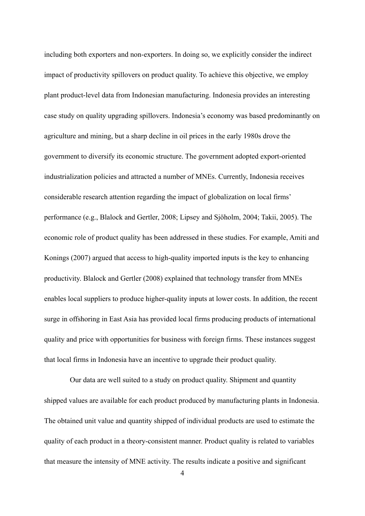including both exporters and non-exporters. In doing so, we explicitly consider the indirect impact of productivity spillovers on product quality. To achieve this objective, we employ plant product-level data from Indonesian manufacturing. Indonesia provides an interesting case study on quality upgrading spillovers. Indonesia's economy was based predominantly on agriculture and mining, but a sharp decline in oil prices in the early 1980s drove the government to diversify its economic structure. The government adopted export-oriented industrialization policies and attracted a number of MNEs. Currently, Indonesia receives considerable research attention regarding the impact of globalization on local firms' performance (e.g., Blalock and Gertler, 2008; Lipsey and Sjöholm, 2004; Takii, 2005). The economic role of product quality has been addressed in these studies. For example, Amiti and Konings (2007) argued that access to high-quality imported inputs is the key to enhancing productivity. Blalock and Gertler (2008) explained that technology transfer from MNEs enables local suppliers to produce higher-quality inputs at lower costs. In addition, the recent surge in offshoring in East Asia has provided local firms producing products of international quality and price with opportunities for business with foreign firms. These instances suggest that local firms in Indonesia have an incentive to upgrade their product quality.

 Our data are well suited to a study on product quality. Shipment and quantity shipped values are available for each product produced by manufacturing plants in Indonesia. The obtained unit value and quantity shipped of individual products are used to estimate the quality of each product in a theory-consistent manner. Product quality is related to variables that measure the intensity of MNE activity. The results indicate a positive and significant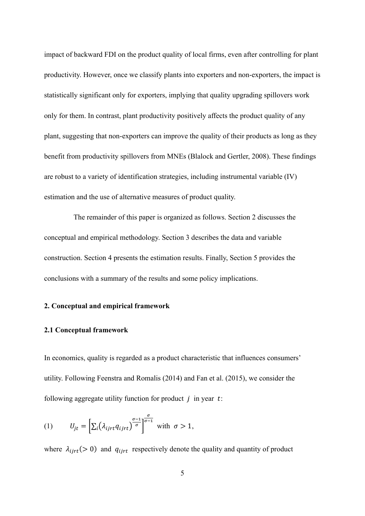impact of backward FDI on the product quality of local firms, even after controlling for plant productivity. However, once we classify plants into exporters and non-exporters, the impact is statistically significant only for exporters, implying that quality upgrading spillovers work only for them. In contrast, plant productivity positively affects the product quality of any plant, suggesting that non-exporters can improve the quality of their products as long as they benefit from productivity spillovers from MNEs (Blalock and Gertler, 2008). These findings are robust to a variety of identification strategies, including instrumental variable (IV) estimation and the use of alternative measures of product quality.

 The remainder of this paper is organized as follows. Section 2 discusses the conceptual and empirical methodology. Section 3 describes the data and variable construction. Section 4 presents the estimation results. Finally, Section 5 provides the conclusions with a summary of the results and some policy implications.

## **2. Conceptual and empirical framework**

#### **2.1 Conceptual framework**

In economics, quality is regarded as a product characteristic that influences consumers' utility. Following Feenstra and Romalis (2014) and Fan et al. (2015), we consider the following aggregate utility function for product  $i$  in year  $t$ :

(1) 
$$
U_{jt} = \left[\sum_i (\lambda_{ijrt} q_{ijrt})^{\frac{\sigma-1}{\sigma}}\right]^{\frac{\sigma}{\sigma-1}} \text{ with } \sigma > 1,
$$

where  $\lambda_{ijrt}$  (> 0) and  $q_{ijrt}$  respectively denote the quality and quantity of product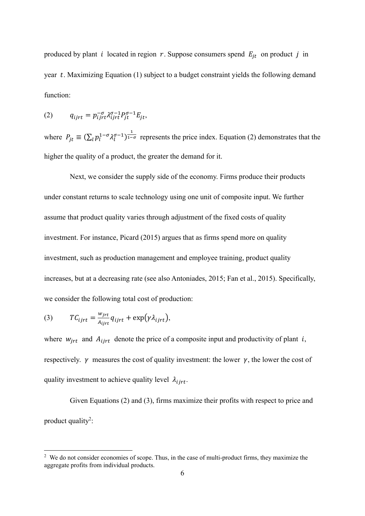produced by plant *i* located in region *r*. Suppose consumers spend  $E_{jt}$  on product *j* in year  $t$ . Maximizing Equation (1) subject to a budget constraint yields the following demand function:

$$
(2) \qquad q_{ijrt} = p_{ijrt}^{-\sigma} \lambda_{ijrt}^{\sigma-1} P_{jt}^{\sigma-1} E_{jt},
$$

where  $P_{jt} \equiv (\sum_l p_l^{1-\sigma} \lambda_l^{\sigma-1})^{\frac{1}{1-\sigma}}$  represents the price index. Equation (2) demonstrates that the higher the quality of a product, the greater the demand for it.

 Next, we consider the supply side of the economy. Firms produce their products under constant returns to scale technology using one unit of composite input. We further assume that product quality varies through adjustment of the fixed costs of quality investment. For instance, Picard (2015) argues that as firms spend more on quality investment, such as production management and employee training, product quality increases, but at a decreasing rate (see also Antoniades, 2015; Fan et al., 2015). Specifically, we consider the following total cost of production:

(3) 
$$
TC_{ijrt} = \frac{w_{jrt}}{A_{ijrt}} q_{ijrt} + \exp(\gamma \lambda_{ijrt}),
$$

where  $w_{jrt}$  and  $A_{ijrt}$  denote the price of a composite input and productivity of plant i, respectively.  $\gamma$  measures the cost of quality investment: the lower  $\gamma$ , the lower the cost of quality investment to achieve quality level  $\lambda_{iirt}$ .

 Given Equations (2) and (3), firms maximize their profits with respect to price and product quality<sup>2</sup>:

 $2$  We do not consider economies of scope. Thus, in the case of multi-product firms, they maximize the aggregate profits from individual products.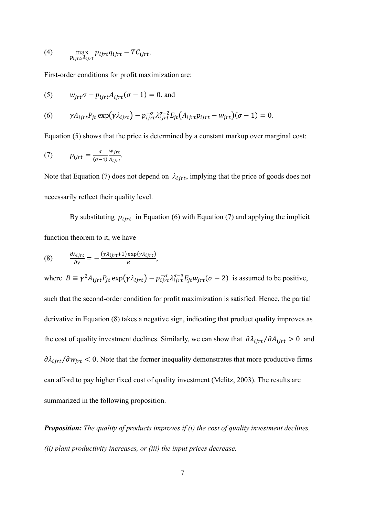(4) 
$$
\max_{p_{ijrt}, \lambda_{ijrt}} p_{ijrt} q_{ijrt} - T C_{ijrt}.
$$

First-order conditions for profit maximization are:

(5) 
$$
w_{jrt}\sigma - p_{ijrt}A_{ijrt}(\sigma - 1) = 0, \text{ and}
$$

(6) 
$$
\gamma A_{ijrt} P_{jt} \exp(\gamma \lambda_{ijrt}) - p_{ijrt}^{-\sigma} \lambda_{ijrt}^{\sigma-2} E_{jt} (A_{ijrt} p_{ijrt} - w_{jrt}) (\sigma - 1) = 0.
$$

Equation (5) shows that the price is determined by a constant markup over marginal cost:

(7) 
$$
p_{ijrt} = \frac{\sigma}{(\sigma - 1)} \frac{w_{jrt}}{A_{ijrt}}.
$$

Note that Equation (7) does not depend on  $\lambda_{ijrt}$ , implying that the price of goods does not necessarily reflect their quality level.

By substituting  $p_{ijrt}$  in Equation (6) with Equation (7) and applying the implicit function theorem to it, we have

(8) 
$$
\frac{\partial \lambda_{ijrt}}{\partial \gamma} = -\frac{(\gamma \lambda_{ijrt}+1) \exp(\gamma \lambda_{ijrt})}{B},
$$

where  $B \equiv \gamma^2 A_{ijrt} P_{jt} \exp(\gamma \lambda_{ijrt}) - p_{ijrt}^{-\sigma} \lambda_{ijrt}^{\sigma-3} E_{jt} w_{jrt} (\sigma - 2)$  is assumed to be positive, such that the second-order condition for profit maximization is satisfied. Hence, the partial derivative in Equation (8) takes a negative sign, indicating that product quality improves as the cost of quality investment declines. Similarly, we can show that  $\partial \lambda_{ijrt}/\partial A_{ijrt} > 0$  and  $\partial \lambda_{i,jrt}/\partial w_{jrt}$  < 0. Note that the former inequality demonstrates that more productive firms can afford to pay higher fixed cost of quality investment (Melitz, 2003). The results are summarized in the following proposition.

*Proposition: The quality of products improves if (i) the cost of quality investment declines, (ii) plant productivity increases, or (iii) the input prices decrease.*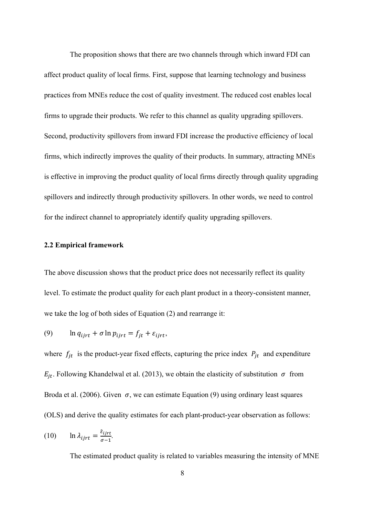The proposition shows that there are two channels through which inward FDI can affect product quality of local firms. First, suppose that learning technology and business practices from MNEs reduce the cost of quality investment. The reduced cost enables local firms to upgrade their products. We refer to this channel as quality upgrading spillovers. Second, productivity spillovers from inward FDI increase the productive efficiency of local firms, which indirectly improves the quality of their products. In summary, attracting MNEs is effective in improving the product quality of local firms directly through quality upgrading spillovers and indirectly through productivity spillovers. In other words, we need to control for the indirect channel to appropriately identify quality upgrading spillovers.

### **2.2 Empirical framework**

The above discussion shows that the product price does not necessarily reflect its quality level. To estimate the product quality for each plant product in a theory-consistent manner, we take the log of both sides of Equation (2) and rearrange it:

(9) 
$$
\ln q_{ijrt} + \sigma \ln p_{ijrt} = f_{jt} + \varepsilon_{ijrt},
$$

where  $f_{it}$  is the product-year fixed effects, capturing the price index  $P_{it}$  and expenditure  $E_{jt}$ . Following Khandelwal et al. (2013), we obtain the elasticity of substitution  $\sigma$  from Broda et al. (2006). Given  $\sigma$ , we can estimate Equation (9) using ordinary least squares (OLS) and derive the quality estimates for each plant-product-year observation as follows:

(10) 
$$
\ln \lambda_{ijrt} = \frac{\hat{\varepsilon}_{ijrt}}{\sigma - 1}.
$$

The estimated product quality is related to variables measuring the intensity of MNE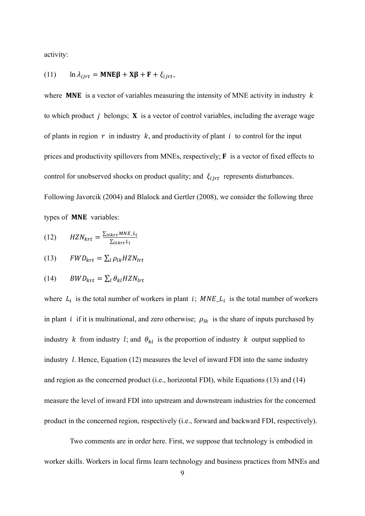activity:

(11) 
$$
\ln \lambda_{ijrt} = \text{MNE}\beta + \text{X}\beta + \text{F} + \xi_{ijrt},
$$

where **MNE** is a vector of variables measuring the intensity of MNE activity in industry  $k$ to which product  $\dot{j}$  belongs; **X** is a vector of control variables, including the average wage of plants in region  $r$  in industry  $k$ , and productivity of plant  $i$  to control for the input prices and productivity spillovers from MNEs, respectively;  $\bf{F}$  is a vector of fixed effects to control for unobserved shocks on product quality; and  $\xi_{iirt}$  represents disturbances. Following Javorcik (2004) and Blalock and Gertler (2008), we consider the following three types of **MNE** variables:

$$
(12) \qquad HZN_{krt} = \frac{\sum_{i \in krt} MNE\_L_i}{\sum_{i \in krt} L_i}
$$

$$
(13) \qquad FWD_{krt} = \sum_{l} \rho_{lk} HZN_{lrt}
$$

$$
(14) \qquad BWD_{krt} = \sum_{l} \theta_{kl} HZN_{lrt}
$$

where  $L_i$  is the total number of workers in plant i;  $MNE_{i}$  is the total number of workers in plant *i* if it is multinational, and zero otherwise;  $\rho_{lk}$  is the share of inputs purchased by industry k from industry l; and  $\theta_{kl}$  is the proportion of industry k output supplied to industry  $l$ . Hence, Equation (12) measures the level of inward FDI into the same industry and region as the concerned product (i.e., horizontal FDI), while Equations (13) and (14) measure the level of inward FDI into upstream and downstream industries for the concerned product in the concerned region, respectively (i.e., forward and backward FDI, respectively).

 Two comments are in order here. First, we suppose that technology is embodied in worker skills. Workers in local firms learn technology and business practices from MNEs and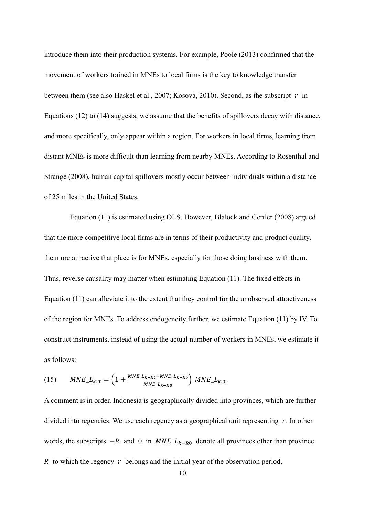introduce them into their production systems. For example, Poole (2013) confirmed that the movement of workers trained in MNEs to local firms is the key to knowledge transfer between them (see also Haskel et al., 2007; Kosová, 2010). Second, as the subscript  $r$  in Equations (12) to (14) suggests, we assume that the benefits of spillovers decay with distance, and more specifically, only appear within a region. For workers in local firms, learning from distant MNEs is more difficult than learning from nearby MNEs. According to Rosenthal and Strange (2008), human capital spillovers mostly occur between individuals within a distance of 25 miles in the United States.

 Equation (11) is estimated using OLS. However, Blalock and Gertler (2008) argued that the more competitive local firms are in terms of their productivity and product quality, the more attractive that place is for MNEs, especially for those doing business with them. Thus, reverse causality may matter when estimating Equation (11). The fixed effects in Equation (11) can alleviate it to the extent that they control for the unobserved attractiveness of the region for MNEs. To address endogeneity further, we estimate Equation (11) by IV. To construct instruments, instead of using the actual number of workers in MNEs, we estimate it as follows:

(15) 
$$
MNE\_L_{krt} = \left(1 + \frac{MNE\_L_{k-Rt} - MNE\_L_{k-R0}}{MNE\_L_{k-R0}}\right) \, MNE\_L_{kro}.
$$

A comment is in order. Indonesia is geographically divided into provinces, which are further divided into regencies. We use each regency as a geographical unit representing  $r$ . In other words, the subscripts  $-R$  and 0 in  $MNE \_L_{k-R_0}$  denote all provinces other than province R to which the regency  $r$  belongs and the initial year of the observation period,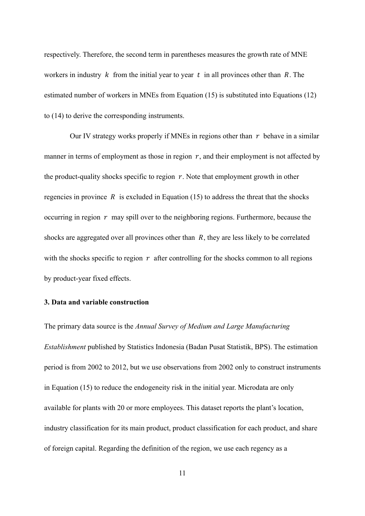respectively. Therefore, the second term in parentheses measures the growth rate of MNE workers in industry  $k$  from the initial year to year  $t$  in all provinces other than  $R$ . The estimated number of workers in MNEs from Equation (15) is substituted into Equations (12) to (14) to derive the corresponding instruments.

Our IV strategy works properly if MNEs in regions other than  $r$  behave in a similar manner in terms of employment as those in region  $r$ , and their employment is not affected by the product-quality shocks specific to region  $r$ . Note that employment growth in other regencies in province  $R$  is excluded in Equation (15) to address the threat that the shocks occurring in region  $r$  may spill over to the neighboring regions. Furthermore, because the shocks are aggregated over all provinces other than  $R$ , they are less likely to be correlated with the shocks specific to region  $r$  after controlling for the shocks common to all regions by product-year fixed effects.

## **3. Data and variable construction**

The primary data source is the *Annual Survey of Medium and Large Manufacturing Establishment* published by Statistics Indonesia (Badan Pusat Statistik, BPS). The estimation period is from 2002 to 2012, but we use observations from 2002 only to construct instruments in Equation (15) to reduce the endogeneity risk in the initial year. Microdata are only available for plants with 20 or more employees. This dataset reports the plant's location, industry classification for its main product, product classification for each product, and share of foreign capital. Regarding the definition of the region, we use each regency as a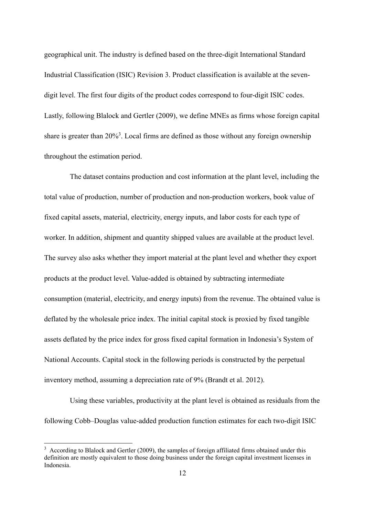geographical unit. The industry is defined based on the three-digit International Standard Industrial Classification (ISIC) Revision 3. Product classification is available at the sevendigit level. The first four digits of the product codes correspond to four-digit ISIC codes. Lastly, following Blalock and Gertler (2009), we define MNEs as firms whose foreign capital share is greater than  $20\%$ <sup>3</sup>. Local firms are defined as those without any foreign ownership throughout the estimation period.

 The dataset contains production and cost information at the plant level, including the total value of production, number of production and non-production workers, book value of fixed capital assets, material, electricity, energy inputs, and labor costs for each type of worker. In addition, shipment and quantity shipped values are available at the product level. The survey also asks whether they import material at the plant level and whether they export products at the product level. Value-added is obtained by subtracting intermediate consumption (material, electricity, and energy inputs) from the revenue. The obtained value is deflated by the wholesale price index. The initial capital stock is proxied by fixed tangible assets deflated by the price index for gross fixed capital formation in Indonesia's System of National Accounts. Capital stock in the following periods is constructed by the perpetual inventory method, assuming a depreciation rate of 9% (Brandt et al. 2012).

 Using these variables, productivity at the plant level is obtained as residuals from the following Cobb–Douglas value-added production function estimates for each two-digit ISIC

 $3$  According to Blalock and Gertler (2009), the samples of foreign affiliated firms obtained under this definition are mostly equivalent to those doing business under the foreign capital investment licenses in Indonesia.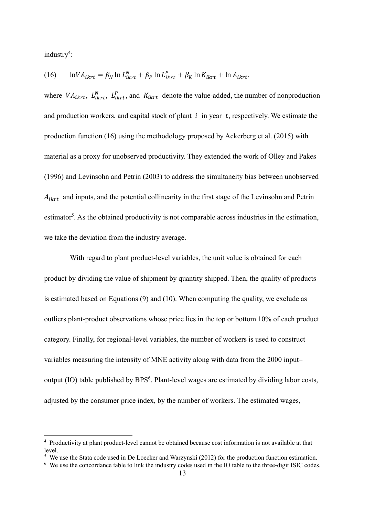industry<sup>4</sup>:

(16) 
$$
\ln V A_{ikrt} = \beta_N \ln L_{ikrt}^N + \beta_P \ln L_{ikrt}^P + \beta_K \ln K_{ikrt} + \ln A_{ikrt}.
$$

where  $VA_{ikrt}$ ,  $L_{ikrt}^N$ ,  $L_{ikrt}^P$ , and  $K_{ikrt}$  denote the value-added, the number of nonproduction and production workers, and capital stock of plant  $i$  in year  $t$ , respectively. We estimate the production function (16) using the methodology proposed by Ackerberg et al. (2015) with material as a proxy for unobserved productivity. They extended the work of Olley and Pakes (1996) and Levinsohn and Petrin (2003) to address the simultaneity bias between unobserved  $A_{ikrt}$  and inputs, and the potential collinearity in the first stage of the Levinsohn and Petrin estimator<sup>5</sup>. As the obtained productivity is not comparable across industries in the estimation, we take the deviation from the industry average.

 With regard to plant product-level variables, the unit value is obtained for each product by dividing the value of shipment by quantity shipped. Then, the quality of products is estimated based on Equations (9) and (10). When computing the quality, we exclude as outliers plant-product observations whose price lies in the top or bottom 10% of each product category. Finally, for regional-level variables, the number of workers is used to construct variables measuring the intensity of MNE activity along with data from the 2000 input– output (IO) table published by BPS $<sup>6</sup>$ . Plant-level wages are estimated by dividing labor costs,</sup> adjusted by the consumer price index, by the number of workers. The estimated wages,

<sup>&</sup>lt;sup>4</sup> Productivity at plant product-level cannot be obtained because cost information is not available at that level.

<sup>&</sup>lt;sup>5</sup> We use the Stata code used in De Loecker and Warzynski (2012) for the production function estimation.

<sup>&</sup>lt;sup>6</sup> We use the concordance table to link the industry codes used in the IO table to the three-digit ISIC codes.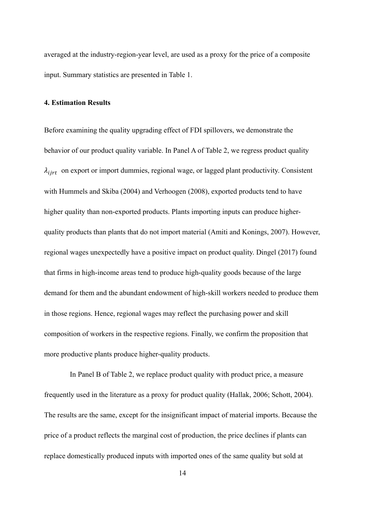averaged at the industry-region-year level, are used as a proxy for the price of a composite input. Summary statistics are presented in Table 1.

### **4. Estimation Results**

Before examining the quality upgrading effect of FDI spillovers, we demonstrate the behavior of our product quality variable. In Panel A of Table 2, we regress product quality  $\lambda_{iirt}$  on export or import dummies, regional wage, or lagged plant productivity. Consistent with Hummels and Skiba (2004) and Verhoogen (2008), exported products tend to have higher quality than non-exported products. Plants importing inputs can produce higherquality products than plants that do not import material (Amiti and Konings, 2007). However, regional wages unexpectedly have a positive impact on product quality. Dingel (2017) found that firms in high-income areas tend to produce high-quality goods because of the large demand for them and the abundant endowment of high-skill workers needed to produce them in those regions. Hence, regional wages may reflect the purchasing power and skill composition of workers in the respective regions. Finally, we confirm the proposition that more productive plants produce higher-quality products.

 In Panel B of Table 2, we replace product quality with product price, a measure frequently used in the literature as a proxy for product quality (Hallak, 2006; Schott, 2004). The results are the same, except for the insignificant impact of material imports. Because the price of a product reflects the marginal cost of production, the price declines if plants can replace domestically produced inputs with imported ones of the same quality but sold at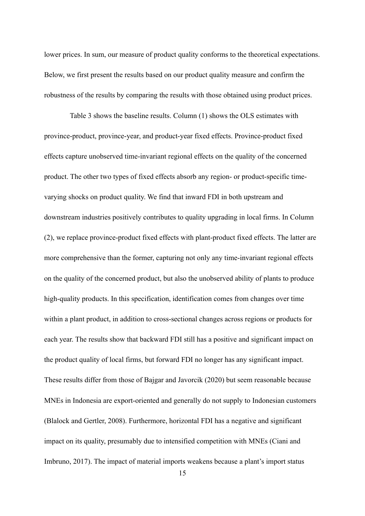lower prices. In sum, our measure of product quality conforms to the theoretical expectations. Below, we first present the results based on our product quality measure and confirm the robustness of the results by comparing the results with those obtained using product prices.

 Table 3 shows the baseline results. Column (1) shows the OLS estimates with province-product, province-year, and product-year fixed effects. Province-product fixed effects capture unobserved time-invariant regional effects on the quality of the concerned product. The other two types of fixed effects absorb any region- or product-specific timevarying shocks on product quality. We find that inward FDI in both upstream and downstream industries positively contributes to quality upgrading in local firms. In Column (2), we replace province-product fixed effects with plant-product fixed effects. The latter are more comprehensive than the former, capturing not only any time-invariant regional effects on the quality of the concerned product, but also the unobserved ability of plants to produce high-quality products. In this specification, identification comes from changes over time within a plant product, in addition to cross-sectional changes across regions or products for each year. The results show that backward FDI still has a positive and significant impact on the product quality of local firms, but forward FDI no longer has any significant impact. These results differ from those of Bajgar and Javorcik (2020) but seem reasonable because MNEs in Indonesia are export-oriented and generally do not supply to Indonesian customers (Blalock and Gertler, 2008). Furthermore, horizontal FDI has a negative and significant impact on its quality, presumably due to intensified competition with MNEs (Ciani and Imbruno, 2017). The impact of material imports weakens because a plant's import status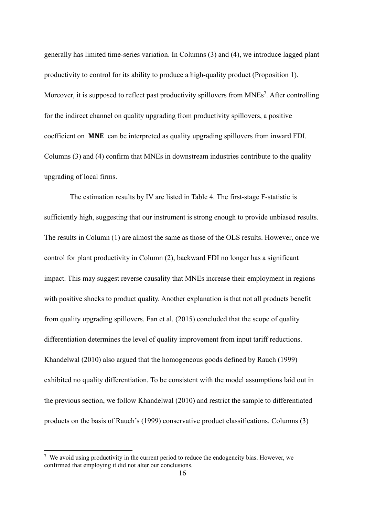generally has limited time-series variation. In Columns (3) and (4), we introduce lagged plant productivity to control for its ability to produce a high-quality product (Proposition 1). Moreover, it is supposed to reflect past productivity spillovers from  $MNEs^7$ . After controlling for the indirect channel on quality upgrading from productivity spillovers, a positive coefficient on **MNE** can be interpreted as quality upgrading spillovers from inward FDI. Columns (3) and (4) confirm that MNEs in downstream industries contribute to the quality upgrading of local firms.

 The estimation results by IV are listed in Table 4. The first-stage F-statistic is sufficiently high, suggesting that our instrument is strong enough to provide unbiased results. The results in Column (1) are almost the same as those of the OLS results. However, once we control for plant productivity in Column (2), backward FDI no longer has a significant impact. This may suggest reverse causality that MNEs increase their employment in regions with positive shocks to product quality. Another explanation is that not all products benefit from quality upgrading spillovers. Fan et al. (2015) concluded that the scope of quality differentiation determines the level of quality improvement from input tariff reductions. Khandelwal (2010) also argued that the homogeneous goods defined by Rauch (1999) exhibited no quality differentiation. To be consistent with the model assumptions laid out in the previous section, we follow Khandelwal (2010) and restrict the sample to differentiated products on the basis of Rauch's (1999) conservative product classifications. Columns (3)

 $7$  We avoid using productivity in the current period to reduce the endogeneity bias. However, we confirmed that employing it did not alter our conclusions.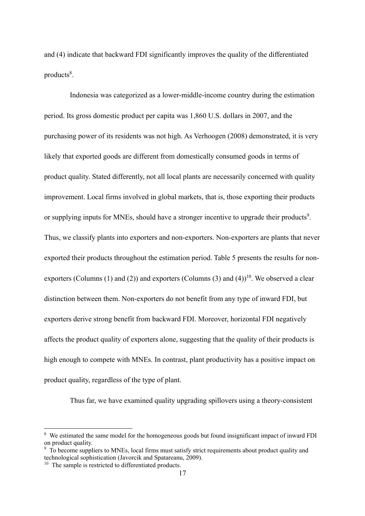and (4) indicate that backward FDI significantly improves the quality of the differentiated products<sup>8</sup>.

 Indonesia was categorized as a lower-middle-income country during the estimation period. Its gross domestic product per capita was 1,860 U.S. dollars in 2007, and the purchasing power of its residents was not high. As Verhoogen (2008) demonstrated, it is very likely that exported goods are different from domestically consumed goods in terms of product quality. Stated differently, not all local plants are necessarily concerned with quality improvement. Local firms involved in global markets, that is, those exporting their products or supplying inputs for MNEs, should have a stronger incentive to upgrade their products<sup>9</sup>. Thus, we classify plants into exporters and non-exporters. Non-exporters are plants that never exported their products throughout the estimation period. Table 5 presents the results for nonexporters (Columns (1) and (2)) and exporters (Columns (3) and (4))<sup>10</sup>. We observed a clear distinction between them. Non-exporters do not benefit from any type of inward FDI, but exporters derive strong benefit from backward FDI. Moreover, horizontal FDI negatively affects the product quality of exporters alone, suggesting that the quality of their products is high enough to compete with MNEs. In contrast, plant productivity has a positive impact on product quality, regardless of the type of plant.

Thus far, we have examined quality upgrading spillovers using a theory-consistent

<sup>&</sup>lt;sup>8</sup> We estimated the same model for the homogeneous goods but found insignificant impact of inward FDI on product quality.

<sup>&</sup>lt;sup>9</sup> To become suppliers to MNEs, local firms must satisfy strict requirements about product quality and technological sophistication (Javorcik and Spatareanu, 2009).

<sup>&</sup>lt;sup>10</sup> The sample is restricted to differentiated products.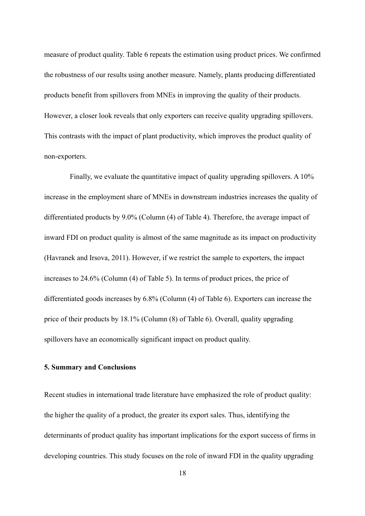measure of product quality. Table 6 repeats the estimation using product prices. We confirmed the robustness of our results using another measure. Namely, plants producing differentiated products benefit from spillovers from MNEs in improving the quality of their products. However, a closer look reveals that only exporters can receive quality upgrading spillovers. This contrasts with the impact of plant productivity, which improves the product quality of non-exporters.

 Finally, we evaluate the quantitative impact of quality upgrading spillovers. A 10% increase in the employment share of MNEs in downstream industries increases the quality of differentiated products by 9.0% (Column (4) of Table 4). Therefore, the average impact of inward FDI on product quality is almost of the same magnitude as its impact on productivity (Havranek and Irsova, 2011). However, if we restrict the sample to exporters, the impact increases to 24.6% (Column (4) of Table 5). In terms of product prices, the price of differentiated goods increases by 6.8% (Column (4) of Table 6). Exporters can increase the price of their products by 18.1% (Column (8) of Table 6). Overall, quality upgrading spillovers have an economically significant impact on product quality.

### **5. Summary and Conclusions**

Recent studies in international trade literature have emphasized the role of product quality: the higher the quality of a product, the greater its export sales. Thus, identifying the determinants of product quality has important implications for the export success of firms in developing countries. This study focuses on the role of inward FDI in the quality upgrading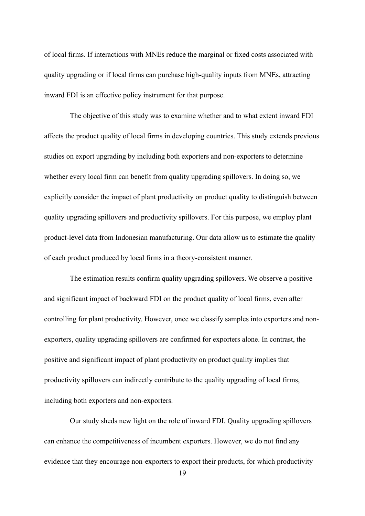of local firms. If interactions with MNEs reduce the marginal or fixed costs associated with quality upgrading or if local firms can purchase high-quality inputs from MNEs, attracting inward FDI is an effective policy instrument for that purpose.

 The objective of this study was to examine whether and to what extent inward FDI affects the product quality of local firms in developing countries. This study extends previous studies on export upgrading by including both exporters and non-exporters to determine whether every local firm can benefit from quality upgrading spillovers. In doing so, we explicitly consider the impact of plant productivity on product quality to distinguish between quality upgrading spillovers and productivity spillovers. For this purpose, we employ plant product-level data from Indonesian manufacturing. Our data allow us to estimate the quality of each product produced by local firms in a theory-consistent manner.

 The estimation results confirm quality upgrading spillovers. We observe a positive and significant impact of backward FDI on the product quality of local firms, even after controlling for plant productivity. However, once we classify samples into exporters and nonexporters, quality upgrading spillovers are confirmed for exporters alone. In contrast, the positive and significant impact of plant productivity on product quality implies that productivity spillovers can indirectly contribute to the quality upgrading of local firms, including both exporters and non-exporters.

 Our study sheds new light on the role of inward FDI. Quality upgrading spillovers can enhance the competitiveness of incumbent exporters. However, we do not find any evidence that they encourage non-exporters to export their products, for which productivity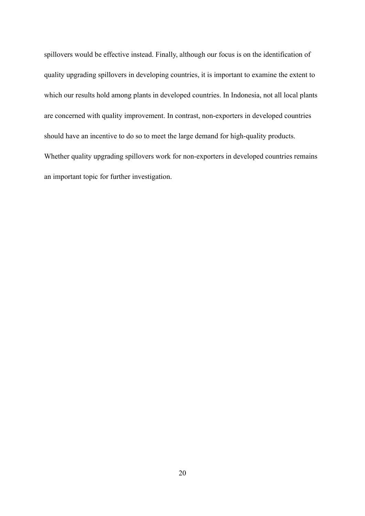spillovers would be effective instead. Finally, although our focus is on the identification of quality upgrading spillovers in developing countries, it is important to examine the extent to which our results hold among plants in developed countries. In Indonesia, not all local plants are concerned with quality improvement. In contrast, non-exporters in developed countries should have an incentive to do so to meet the large demand for high-quality products. Whether quality upgrading spillovers work for non-exporters in developed countries remains an important topic for further investigation.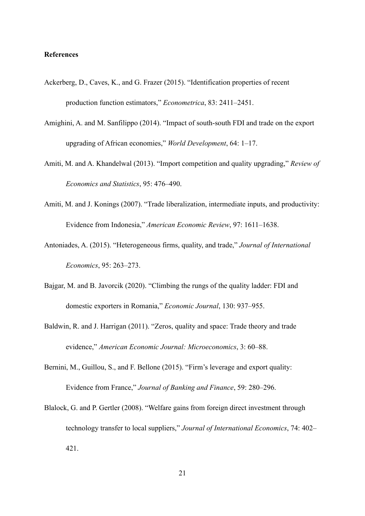#### **References**

- Ackerberg, D., Caves, K., and G. Frazer (2015). "Identification properties of recent production function estimators," *Econometrica*, 83: 2411–2451.
- Amighini, A. and M. Sanfilippo (2014). "Impact of south-south FDI and trade on the export upgrading of African economies," *World Development*, 64: 1–17.
- Amiti, M. and A. Khandelwal (2013). "Import competition and quality upgrading," *Review of Economics and Statistics*, 95: 476–490.
- Amiti, M. and J. Konings (2007). "Trade liberalization, intermediate inputs, and productivity: Evidence from Indonesia," *American Economic Review*, 97: 1611–1638.
- Antoniades, A. (2015). "Heterogeneous firms, quality, and trade," *Journal of International Economics*, 95: 263–273.
- Bajgar, M. and B. Javorcik (2020). "Climbing the rungs of the quality ladder: FDI and domestic exporters in Romania," *Economic Journal*, 130: 937–955.
- Baldwin, R. and J. Harrigan (2011). "Zeros, quality and space: Trade theory and trade evidence," *American Economic Journal: Microeconomics*, 3: 60–88.
- Bernini, M., Guillou, S., and F. Bellone (2015). "Firm's leverage and export quality: Evidence from France," *Journal of Banking and Finance*, 59: 280–296.
- Blalock, G. and P. Gertler (2008). "Welfare gains from foreign direct investment through technology transfer to local suppliers," *Journal of International Economics*, 74: 402– 421.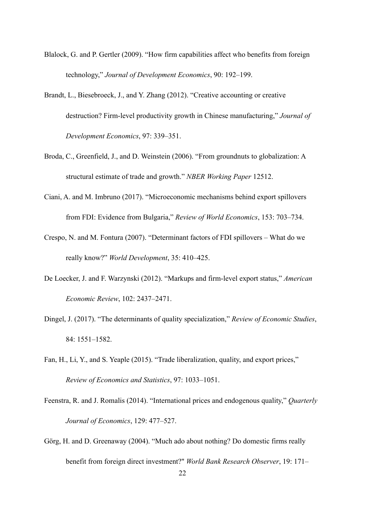- Blalock, G. and P. Gertler (2009). "How firm capabilities affect who benefits from foreign technology," *Journal of Development Economics*, 90: 192–199.
- Brandt, L., Biesebroeck, J., and Y. Zhang (2012). "Creative accounting or creative destruction? Firm-level productivity growth in Chinese manufacturing," *Journal of Development Economics*, 97: 339–351.
- Broda, C., Greenfield, J., and D. Weinstein (2006). "From groundnuts to globalization: A structural estimate of trade and growth." *NBER Working Paper* 12512.
- Ciani, A. and M. Imbruno (2017). "Microeconomic mechanisms behind export spillovers from FDI: Evidence from Bulgaria," *Review of World Economics*, 153: 703–734.
- Crespo, N. and M. Fontura (2007). "Determinant factors of FDI spillovers What do we really know?" *World Development*, 35: 410–425.
- De Loecker, J. and F. Warzynski (2012). "Markups and firm-level export status," *American Economic Review*, 102: 2437–2471.
- Dingel, J. (2017). "The determinants of quality specialization," *Review of Economic Studies*, 84: 1551–1582.
- Fan, H., Li, Y., and S. Yeaple (2015). "Trade liberalization, quality, and export prices," *Review of Economics and Statistics*, 97: 1033–1051.
- Feenstra, R. and J. Romalis (2014). "International prices and endogenous quality," *Quarterly Journal of Economics*, 129: 477–527.
- Görg, H. and D. Greenaway (2004). "Much ado about nothing? Do domestic firms really benefit from foreign direct investment?" *World Bank Research Observer*, 19: 171–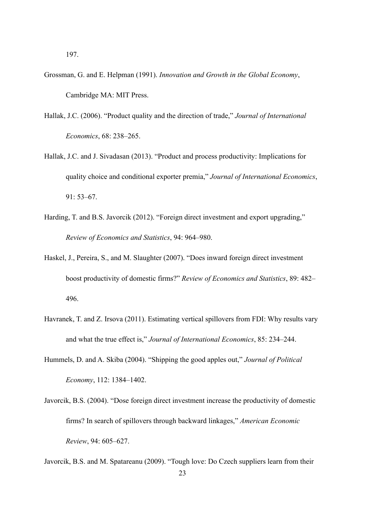197.

- Grossman, G. and E. Helpman (1991). *Innovation and Growth in the Global Economy*, Cambridge MA: MIT Press.
- Hallak, J.C. (2006). "Product quality and the direction of trade," *Journal of International Economics*, 68: 238–265.
- Hallak, J.C. and J. Sivadasan (2013). "Product and process productivity: Implications for quality choice and conditional exporter premia," *Journal of International Economics*, 91: 53–67.
- Harding, T. and B.S. Javorcik (2012). "Foreign direct investment and export upgrading," *Review of Economics and Statistics*, 94: 964–980.
- Haskel, J., Pereira, S., and M. Slaughter (2007). "Does inward foreign direct investment boost productivity of domestic firms?" *Review of Economics and Statistics*, 89: 482– 496.
- Havranek, T. and Z. Irsova (2011). Estimating vertical spillovers from FDI: Why results vary and what the true effect is," *Journal of International Economics*, 85: 234–244.
- Hummels, D. and A. Skiba (2004). "Shipping the good apples out," *Journal of Political Economy*, 112: 1384–1402.
- Javorcik, B.S. (2004). "Dose foreign direct investment increase the productivity of domestic firms? In search of spillovers through backward linkages," *American Economic Review*, 94: 605–627.

Javorcik, B.S. and M. Spatareanu (2009). "Tough love: Do Czech suppliers learn from their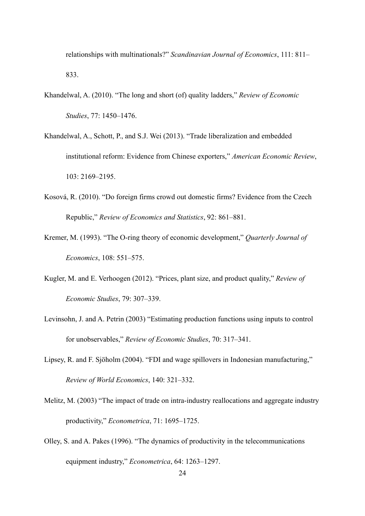relationships with multinationals?" *Scandinavian Journal of Economics*, 111: 811– 833.

- Khandelwal, A. (2010). "The long and short (of) quality ladders," *Review of Economic Studies*, 77: 1450–1476.
- Khandelwal, A., Schott, P., and S.J. Wei (2013). "Trade liberalization and embedded institutional reform: Evidence from Chinese exporters," *American Economic Review*, 103: 2169–2195.
- Kosová, R. (2010). "Do foreign firms crowd out domestic firms? Evidence from the Czech Republic," *Review of Economics and Statistics*, 92: 861–881.
- Kremer, M. (1993). "The O-ring theory of economic development," *Quarterly Journal of Economics*, 108: 551–575.
- Kugler, M. and E. Verhoogen (2012). "Prices, plant size, and product quality," *Review of Economic Studies*, 79: 307–339.
- Levinsohn, J. and A. Petrin (2003) "Estimating production functions using inputs to control for unobservables," *Review of Economic Studies*, 70: 317–341.
- Lipsey, R. and F. Sjöholm (2004). "FDI and wage spillovers in Indonesian manufacturing," *Review of World Economics*, 140: 321–332.
- Melitz, M. (2003) "The impact of trade on intra-industry reallocations and aggregate industry productivity," *Econometrica*, 71: 1695–1725.
- Olley, S. and A. Pakes (1996). "The dynamics of productivity in the telecommunications equipment industry," *Econometrica*, 64: 1263–1297.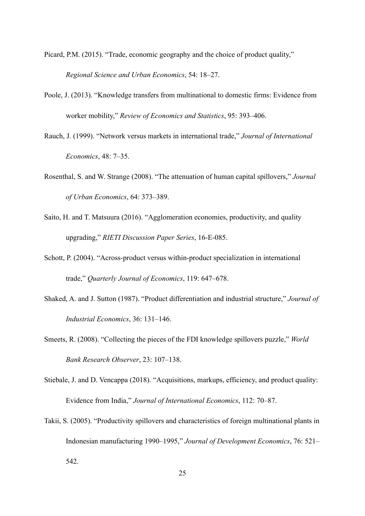- Picard, P.M. (2015). "Trade, economic geography and the choice of product quality," *Regional Science and Urban Economics*, 54: 18–27.
- Poole, J. (2013). "Knowledge transfers from multinational to domestic firms: Evidence from worker mobility," *Review of Economics and Statistics*, 95: 393–406.
- Rauch, J. (1999). "Network versus markets in international trade," *Journal of International Economics*, 48: 7–35.
- Rosenthal, S. and W. Strange (2008). "The attenuation of human capital spillovers," *Journal of Urban Economics*, 64: 373–389.
- Saito, H. and T. Matsuura (2016). "Agglomeration economies, productivity, and quality upgrading," *RIETI Discussion Paper Series*, 16-E-085.
- Schott, P. (2004). "Across-product versus within-product specialization in international trade," *Quarterly Journal of Economics*, 119: 647–678.
- Shaked, A. and J. Sutton (1987). "Product differentiation and industrial structure," *Journal of Industrial Economics*, 36: 131–146.
- Smeets, R. (2008). "Collecting the pieces of the FDI knowledge spillovers puzzle," *World Bank Research Observer*, 23: 107–138.
- Stiebale, J. and D. Vencappa (2018). "Acquisitions, markups, efficiency, and product quality: Evidence from India," *Journal of International Economics*, 112: 70–87.
- Takii, S. (2005). "Productivity spillovers and characteristics of foreign multinational plants in Indonesian manufacturing 1990–1995," *Journal of Development Economics*, 76: 521– 542.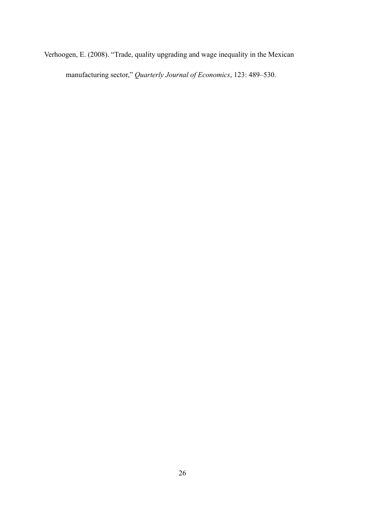Verhoogen, E. (2008). "Trade, quality upgrading and wage inequality in the Mexican manufacturing sector," *Quarterly Journal of Economics*, 123: 489–530.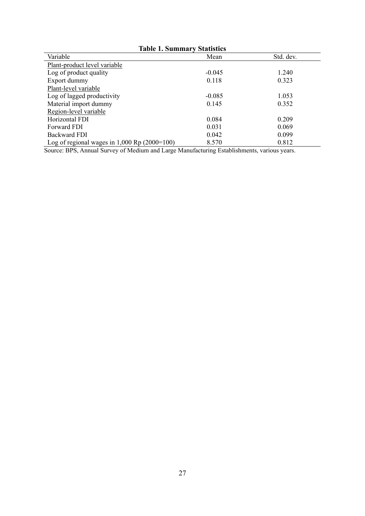| <b>Table 1. Summary Statistics</b>               |          |           |  |  |  |
|--------------------------------------------------|----------|-----------|--|--|--|
| Variable                                         | Mean     | Std. dev. |  |  |  |
| Plant-product level variable                     |          |           |  |  |  |
| Log of product quality                           | $-0.045$ | 1.240     |  |  |  |
| Export dummy                                     | 0.118    | 0.323     |  |  |  |
| Plant-level variable                             |          |           |  |  |  |
| Log of lagged productivity                       | $-0.085$ | 1.053     |  |  |  |
| Material import dummy                            | 0.145    | 0.352     |  |  |  |
| Region-level variable                            |          |           |  |  |  |
| Horizontal FDI                                   | 0.084    | 0.209     |  |  |  |
| <b>Forward FDI</b>                               | 0.031    | 0.069     |  |  |  |
| Backward FDI                                     | 0.042    | 0.099     |  |  |  |
| Log of regional wages in $1,000$ Rp $(2000=100)$ | 8.570    | 0.812     |  |  |  |

Source: BPS, Annual Survey of Medium and Large Manufacturing Establishments, various years.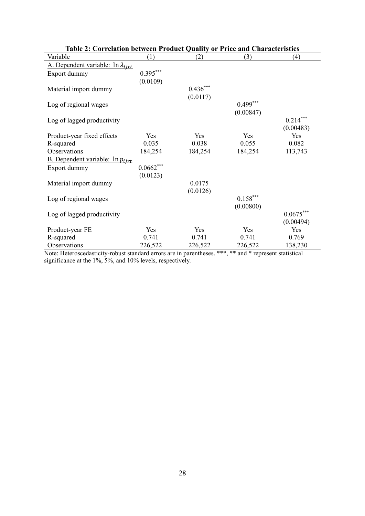| Table 2: Correlation between Product Quality or Price and Characteristics |                |            |                        |             |  |  |
|---------------------------------------------------------------------------|----------------|------------|------------------------|-------------|--|--|
| Variable                                                                  | (1)            | (2)        | (3)                    | (4)         |  |  |
| A. Dependent variable: $\ln \lambda_{ijrt}$                               |                |            |                        |             |  |  |
| Export dummy                                                              | $0.395***$     |            |                        |             |  |  |
|                                                                           | (0.0109)       |            |                        |             |  |  |
| Material import dummy                                                     |                | $0.436***$ |                        |             |  |  |
|                                                                           |                | (0.0117)   |                        |             |  |  |
| Log of regional wages                                                     |                |            | $0.499***$             |             |  |  |
|                                                                           |                |            | (0.00847)              |             |  |  |
| Log of lagged productivity                                                |                |            |                        | $0.214***$  |  |  |
|                                                                           |                |            |                        | (0.00483)   |  |  |
| Product-year fixed effects                                                | Yes            | Yes        | Yes                    | Yes         |  |  |
| R-squared                                                                 | 0.035          | 0.038      | 0.055                  | 0.082       |  |  |
| Observations                                                              | 184,254        | 184,254    | 184,254                | 113,743     |  |  |
| <b>B.</b> Dependent variable: $\ln p_{ijrt}$                              |                |            |                        |             |  |  |
| Export dummy                                                              | $0.0662^{***}$ |            |                        |             |  |  |
|                                                                           | (0.0123)       |            |                        |             |  |  |
| Material import dummy                                                     |                | 0.0175     |                        |             |  |  |
|                                                                           |                | (0.0126)   |                        |             |  |  |
| Log of regional wages                                                     |                |            | $0.158^{\ast\ast\ast}$ |             |  |  |
|                                                                           |                |            | (0.00800)              |             |  |  |
| Log of lagged productivity                                                |                |            |                        | $0.0675***$ |  |  |
|                                                                           |                |            |                        | (0.00494)   |  |  |
| Product-year FE                                                           | Yes            | Yes        | Yes                    | Yes         |  |  |
| R-squared                                                                 | 0.741          | 0.741      | 0.741                  | 0.769       |  |  |
| Observations                                                              | 226,522        | 226,522    | 226,522                | 138,230     |  |  |

| Table 2: Correlation between Product Quality or Price and Characteristics |  |  |
|---------------------------------------------------------------------------|--|--|
| able                                                                      |  |  |

Note: Heteroscedasticity-robust standard errors are in parentheses. \*\*\*, \*\* and \* represent statistical significance at the 1%, 5%, and 10% levels, respectively.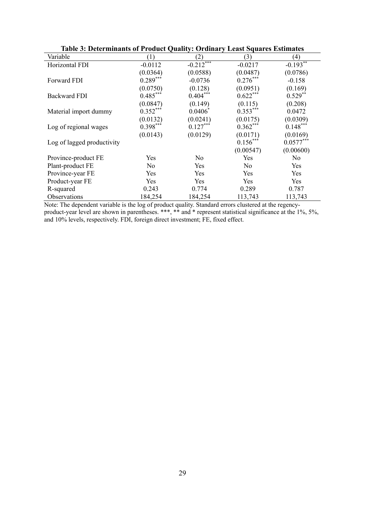| Table 5: Determinants of Product Quanty: Ordinary Least Squares Estimates |            |                           |                |             |  |  |
|---------------------------------------------------------------------------|------------|---------------------------|----------------|-------------|--|--|
| Variable                                                                  | (1)        | (2)                       | (3)            | (4)         |  |  |
| Horizontal FDI                                                            | $-0.0112$  | $-0.2\overline{12}^{***}$ | $-0.0217$      | $-0.193**$  |  |  |
|                                                                           | (0.0364)   | (0.0588)                  | (0.0487)       | (0.0786)    |  |  |
| Forward FDI                                                               | $0.289***$ | $-0.0736$                 | $0.276***$     | $-0.158$    |  |  |
|                                                                           | (0.0750)   | (0.128)                   | (0.0951)       | (0.169)     |  |  |
| <b>Backward FDI</b>                                                       | $0.485***$ | $0.404***$                | $0.622***$     | $0.529**$   |  |  |
|                                                                           | (0.0847)   | (0.149)                   | (0.115)        | (0.208)     |  |  |
| Material import dummy                                                     | $0.352***$ | $0.0406*$                 | $0.353***$     | 0.0472      |  |  |
|                                                                           | (0.0132)   | (0.0241)                  | (0.0175)       | (0.0309)    |  |  |
| Log of regional wages                                                     | $0.398***$ | $0.127***$                | $0.362***$     | $0.148***$  |  |  |
|                                                                           | (0.0143)   | (0.0129)                  | (0.0171)       | (0.0169)    |  |  |
| Log of lagged productivity                                                |            |                           | $0.156***$     | $0.0577***$ |  |  |
|                                                                           |            |                           | (0.00547)      | (0.00600)   |  |  |
| Province-product FE                                                       | Yes        | No.                       | Yes            | No          |  |  |
| Plant-product FE                                                          | No         | Yes                       | N <sub>o</sub> | Yes         |  |  |
| Province-year FE                                                          | Yes        | Yes                       | Yes            | Yes         |  |  |
| Product-year FE                                                           | Yes        | Yes                       | Yes            | Yes         |  |  |
| R-squared                                                                 | 0.243      | 0.774                     | 0.289          | 0.787       |  |  |
| Observations                                                              | 184,254    | 184,254                   | 113,743        | 113,743     |  |  |

| Table 3: Determinants of Product Quality: Ordinary Least Squares Estimates |  |
|----------------------------------------------------------------------------|--|
|----------------------------------------------------------------------------|--|

Note: The dependent variable is the log of product quality. Standard errors clustered at the regencyproduct-year level are shown in parentheses. \*\*\*, \*\* and \* represent statistical significance at the 1%, 5%, and 10% levels, respectively. FDI, foreign direct investment; FE, fixed effect.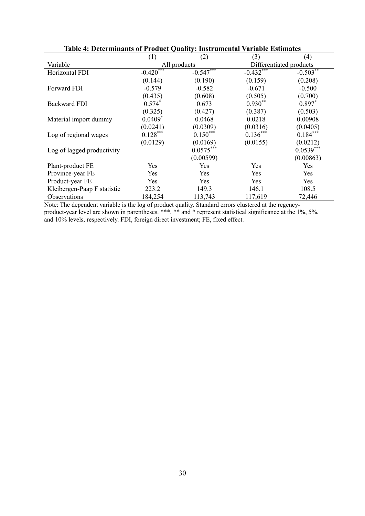| таріс та ресситніцтву от гтомист учанту, тими ангентат таттаріс плинател |             |              |                         |             |  |
|--------------------------------------------------------------------------|-------------|--------------|-------------------------|-------------|--|
|                                                                          | (1)         | (2)          | (3)                     | (4)         |  |
| Variable                                                                 |             | All products | Differentiated products |             |  |
| Horizontal FDI                                                           | $-0.420***$ | $-0.547***$  | $-0.432$                | $-0.503$ ** |  |
|                                                                          | (0.144)     | (0.190)      | (0.159)                 | (0.208)     |  |
| Forward FDI                                                              | $-0.579$    | $-0.582$     | $-0.671$                | $-0.500$    |  |
|                                                                          | (0.435)     | (0.608)      | (0.505)                 | (0.700)     |  |
| <b>Backward FDI</b>                                                      | $0.574*$    | 0.673        | $0.930**$               | $0.897*$    |  |
|                                                                          | (0.325)     | (0.427)      | (0.387)                 | (0.503)     |  |
| Material import dummy                                                    | $0.0409*$   | 0.0468       | 0.0218                  | 0.00908     |  |
|                                                                          | (0.0241)    | (0.0309)     | (0.0316)                | (0.0405)    |  |
| Log of regional wages                                                    | $0.128***$  | $0.150***$   | $0.136***$              | $0.184***$  |  |
|                                                                          | (0.0129)    | (0.0169)     | (0.0155)                | (0.0212)    |  |
| Log of lagged productivity                                               |             | $0.0575***$  |                         | $0.0539***$ |  |
|                                                                          |             | (0.00599)    |                         | (0.00863)   |  |
| Plant-product FE                                                         | Yes         | Yes          | Yes                     | Yes         |  |
| Province-year FE                                                         | Yes         | Yes          | Yes                     | Yes         |  |
| Product-year FE                                                          | Yes         | Yes          | Yes                     | Yes         |  |
| Kleibergen-Paap F statistic                                              | 223.2       | 149.3        | 146.1                   | 108.5       |  |
| Observations                                                             | 184,254     | 113,743      | 117,619                 | 72,446      |  |

## **Table 4: Determinants of Product Quality: Instrumental Variable Estimates**

Note: The dependent variable is the log of product quality. Standard errors clustered at the regencyproduct-year level are shown in parentheses. \*\*\*, \*\* and \* represent statistical significance at the 1%, 5%, and 10% levels, respectively. FDI, foreign direct investment; FE, fixed effect.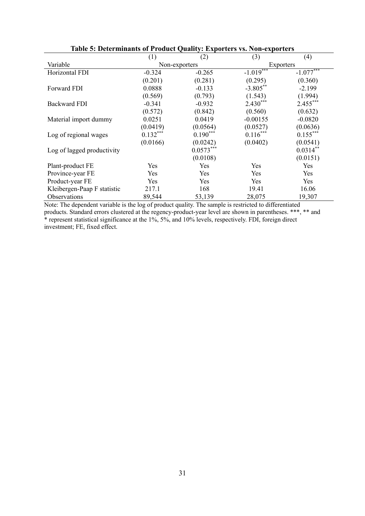| Table of Determinance of Frounce Quality. Exporters 15. Foll exporters |            |               |             |             |
|------------------------------------------------------------------------|------------|---------------|-------------|-------------|
|                                                                        | (1)        | (2)           | (3)         | (4)         |
| Variable                                                               |            | Non-exporters | Exporters   |             |
| Horizontal FDI                                                         | $-0.324$   | $-0.265$      | $-1.019***$ | $-1.077***$ |
|                                                                        | (0.201)    | (0.281)       | (0.295)     | (0.360)     |
| Forward FDI                                                            | 0.0888     | $-0.133$      | $-3.805***$ | $-2.199$    |
|                                                                        | (0.569)    | (0.793)       | (1.543)     | (1.994)     |
| <b>Backward FDI</b>                                                    | $-0.341$   | $-0.932$      | $2.430***$  | $2.455***$  |
|                                                                        | (0.572)    | (0.842)       | (0.560)     | (0.632)     |
| Material import dummy                                                  | 0.0251     | 0.0419        | $-0.00155$  | $-0.0820$   |
|                                                                        | (0.0419)   | (0.0564)      | (0.0527)    | (0.0636)    |
| Log of regional wages                                                  | $0.132***$ | $0.190***$    | $0.116***$  | $0.155***$  |
|                                                                        | (0.0166)   | (0.0242)      | (0.0402)    | (0.0541)    |
| Log of lagged productivity                                             |            | $0.0573***$   |             | $0.0314**$  |
|                                                                        |            | (0.0108)      |             | (0.0151)    |
| Plant-product FE                                                       | Yes        | Yes           | Yes         | Yes         |
| Province-year FE                                                       | Yes        | Yes           | Yes         | Yes         |
| Product-year FE                                                        | Yes        | Yes           | Yes         | Yes         |
| Kleibergen-Paap F statistic                                            | 217.1      | 168           | 19.41       | 16.06       |
| Observations                                                           | 89,544     | 53,139        | 28,075      | 19,307      |

## **Table 5: Determinants of Product Quality: Exporters vs. Non-exporters**

Note: The dependent variable is the log of product quality. The sample is restricted to differentiated products. Standard errors clustered at the regency-product-year level are shown in parentheses. \*\*\*, \*\* and \* represent statistical significance at the 1%, 5%, and 10% levels, respectively. FDI, foreign direct investment; FE, fixed effect.